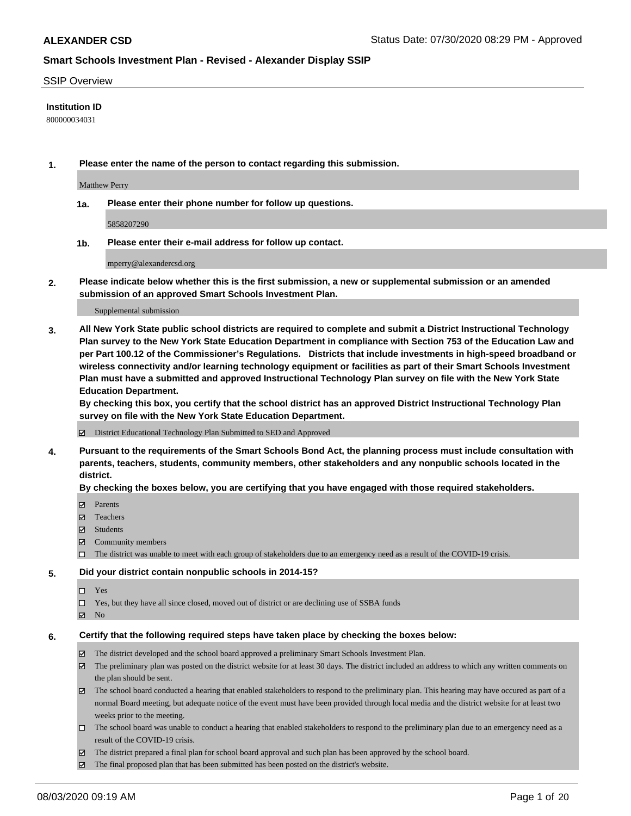### SSIP Overview

## **Institution ID**

800000034031

**1. Please enter the name of the person to contact regarding this submission.**

Matthew Perry

**1a. Please enter their phone number for follow up questions.**

5858207290

**1b. Please enter their e-mail address for follow up contact.**

mperry@alexandercsd.org

**2. Please indicate below whether this is the first submission, a new or supplemental submission or an amended submission of an approved Smart Schools Investment Plan.**

#### Supplemental submission

**3. All New York State public school districts are required to complete and submit a District Instructional Technology Plan survey to the New York State Education Department in compliance with Section 753 of the Education Law and per Part 100.12 of the Commissioner's Regulations. Districts that include investments in high-speed broadband or wireless connectivity and/or learning technology equipment or facilities as part of their Smart Schools Investment Plan must have a submitted and approved Instructional Technology Plan survey on file with the New York State Education Department.** 

**By checking this box, you certify that the school district has an approved District Instructional Technology Plan survey on file with the New York State Education Department.**

District Educational Technology Plan Submitted to SED and Approved

**4. Pursuant to the requirements of the Smart Schools Bond Act, the planning process must include consultation with parents, teachers, students, community members, other stakeholders and any nonpublic schools located in the district.** 

### **By checking the boxes below, you are certifying that you have engaged with those required stakeholders.**

- **Ø** Parents
- Teachers
- Students
- $\boxtimes$  Community members
- The district was unable to meet with each group of stakeholders due to an emergency need as a result of the COVID-19 crisis.

### **5. Did your district contain nonpublic schools in 2014-15?**

- $\neg$  Yes
- Yes, but they have all since closed, moved out of district or are declining use of SSBA funds
- **Z** No

### **6. Certify that the following required steps have taken place by checking the boxes below:**

- The district developed and the school board approved a preliminary Smart Schools Investment Plan.
- $\boxtimes$  The preliminary plan was posted on the district website for at least 30 days. The district included an address to which any written comments on the plan should be sent.
- $\boxtimes$  The school board conducted a hearing that enabled stakeholders to respond to the preliminary plan. This hearing may have occured as part of a normal Board meeting, but adequate notice of the event must have been provided through local media and the district website for at least two weeks prior to the meeting.
- The school board was unable to conduct a hearing that enabled stakeholders to respond to the preliminary plan due to an emergency need as a result of the COVID-19 crisis.
- The district prepared a final plan for school board approval and such plan has been approved by the school board.
- $\boxtimes$  The final proposed plan that has been submitted has been posted on the district's website.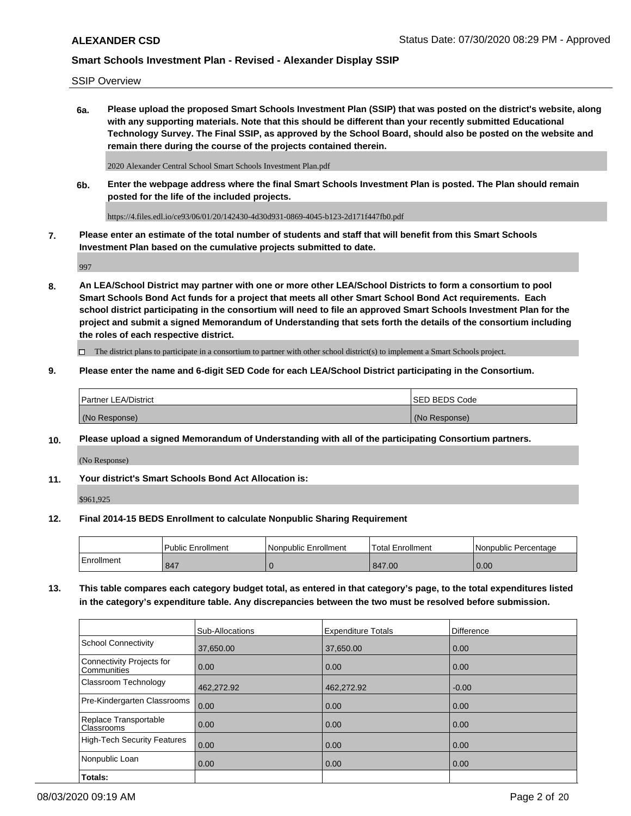SSIP Overview

**6a. Please upload the proposed Smart Schools Investment Plan (SSIP) that was posted on the district's website, along with any supporting materials. Note that this should be different than your recently submitted Educational Technology Survey. The Final SSIP, as approved by the School Board, should also be posted on the website and remain there during the course of the projects contained therein.**

2020 Alexander Central School Smart Schools Investment Plan.pdf

**6b. Enter the webpage address where the final Smart Schools Investment Plan is posted. The Plan should remain posted for the life of the included projects.**

https://4.files.edl.io/ce93/06/01/20/142430-4d30d931-0869-4045-b123-2d171f447fb0.pdf

**7. Please enter an estimate of the total number of students and staff that will benefit from this Smart Schools Investment Plan based on the cumulative projects submitted to date.**

997

**8. An LEA/School District may partner with one or more other LEA/School Districts to form a consortium to pool Smart Schools Bond Act funds for a project that meets all other Smart School Bond Act requirements. Each school district participating in the consortium will need to file an approved Smart Schools Investment Plan for the project and submit a signed Memorandum of Understanding that sets forth the details of the consortium including the roles of each respective district.**

 $\Box$  The district plans to participate in a consortium to partner with other school district(s) to implement a Smart Schools project.

## **9. Please enter the name and 6-digit SED Code for each LEA/School District participating in the Consortium.**

|               | Partner LEA/District | ISED BEDS Code |
|---------------|----------------------|----------------|
| (No Response) |                      | (No Response)  |

## **10. Please upload a signed Memorandum of Understanding with all of the participating Consortium partners.**

(No Response)

**11. Your district's Smart Schools Bond Act Allocation is:**

\$961,925

### **12. Final 2014-15 BEDS Enrollment to calculate Nonpublic Sharing Requirement**

|            | <b>Public Enrollment</b> | Nonpublic Enrollment | <b>Total Enrollment</b> | l Nonpublic Percentage |
|------------|--------------------------|----------------------|-------------------------|------------------------|
| Enrollment | 847                      |                      | 847.00                  | 0.00                   |

**13. This table compares each category budget total, as entered in that category's page, to the total expenditures listed in the category's expenditure table. Any discrepancies between the two must be resolved before submission.**

|                                          | Sub-Allocations | <b>Expenditure Totals</b> | <b>Difference</b> |
|------------------------------------------|-----------------|---------------------------|-------------------|
| <b>School Connectivity</b>               | 37,650.00       | 37,650.00                 | 0.00              |
| Connectivity Projects for<br>Communities | 0.00            | 0.00                      | 0.00              |
| Classroom Technology                     | 462,272.92      | 462,272.92                | $-0.00$           |
| Pre-Kindergarten Classrooms              | 0.00            | 0.00                      | 0.00              |
| Replace Transportable<br>Classrooms      | 0.00            | 0.00                      | 0.00              |
| High-Tech Security Features              | 0.00            | 0.00                      | 0.00              |
| Nonpublic Loan                           | 0.00            | 0.00                      | 0.00              |
| Totals:                                  |                 |                           |                   |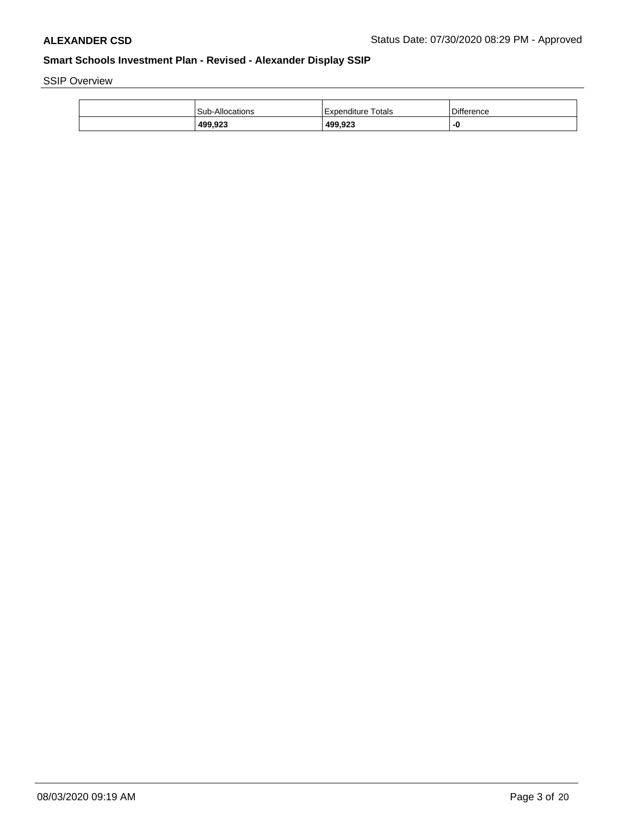SSIP Overview

| 499,923                | 499,923            | -0         |
|------------------------|--------------------|------------|
| <b>Sub-Allocations</b> | Expenditure Totals | Difference |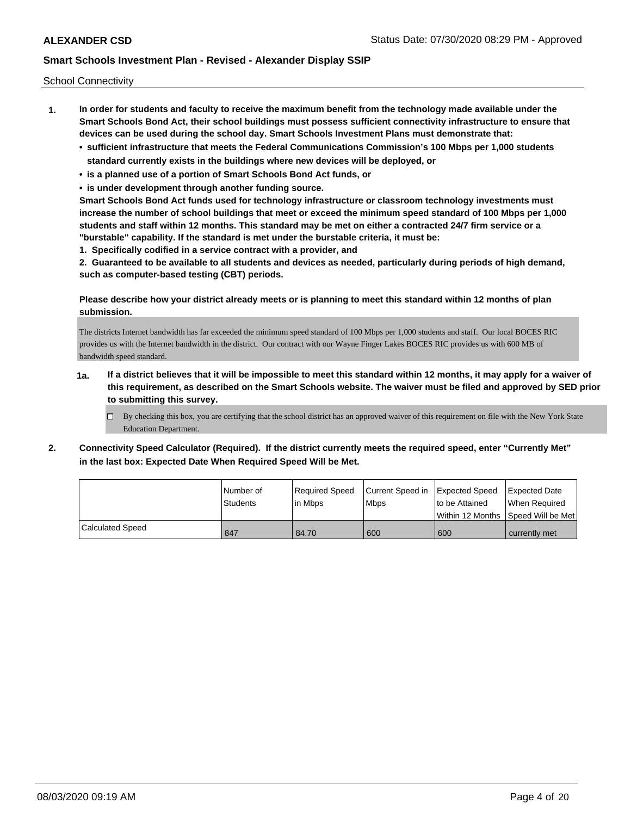School Connectivity

- **1. In order for students and faculty to receive the maximum benefit from the technology made available under the Smart Schools Bond Act, their school buildings must possess sufficient connectivity infrastructure to ensure that devices can be used during the school day. Smart Schools Investment Plans must demonstrate that:**
	- **• sufficient infrastructure that meets the Federal Communications Commission's 100 Mbps per 1,000 students standard currently exists in the buildings where new devices will be deployed, or**
	- **• is a planned use of a portion of Smart Schools Bond Act funds, or**
	- **• is under development through another funding source.**

**Smart Schools Bond Act funds used for technology infrastructure or classroom technology investments must increase the number of school buildings that meet or exceed the minimum speed standard of 100 Mbps per 1,000 students and staff within 12 months. This standard may be met on either a contracted 24/7 firm service or a "burstable" capability. If the standard is met under the burstable criteria, it must be:**

**1. Specifically codified in a service contract with a provider, and**

**2. Guaranteed to be available to all students and devices as needed, particularly during periods of high demand, such as computer-based testing (CBT) periods.**

**Please describe how your district already meets or is planning to meet this standard within 12 months of plan submission.**

The districts Internet bandwidth has far exceeded the minimum speed standard of 100 Mbps per 1,000 students and staff. Our local BOCES RIC provides us with the Internet bandwidth in the district. Our contract with our Wayne Finger Lakes BOCES RIC provides us with 600 MB of bandwidth speed standard.

- **1a. If a district believes that it will be impossible to meet this standard within 12 months, it may apply for a waiver of this requirement, as described on the Smart Schools website. The waiver must be filed and approved by SED prior to submitting this survey.**
	- $\Box$  By checking this box, you are certifying that the school district has an approved waiver of this requirement on file with the New York State Education Department.
- **2. Connectivity Speed Calculator (Required). If the district currently meets the required speed, enter "Currently Met" in the last box: Expected Date When Required Speed Will be Met.**

|                         | l Number of | Required Speed | Current Speed in | Expected Speed                     | <b>Expected Date</b> |
|-------------------------|-------------|----------------|------------------|------------------------------------|----------------------|
|                         | Students    | lin Mbps       | Mbps             | to be Attained                     | When Required        |
|                         |             |                |                  | Within 12 Months Speed Will be Met |                      |
| <b>Calculated Speed</b> | 847         | 84.70          | 600              | 600                                | currently met        |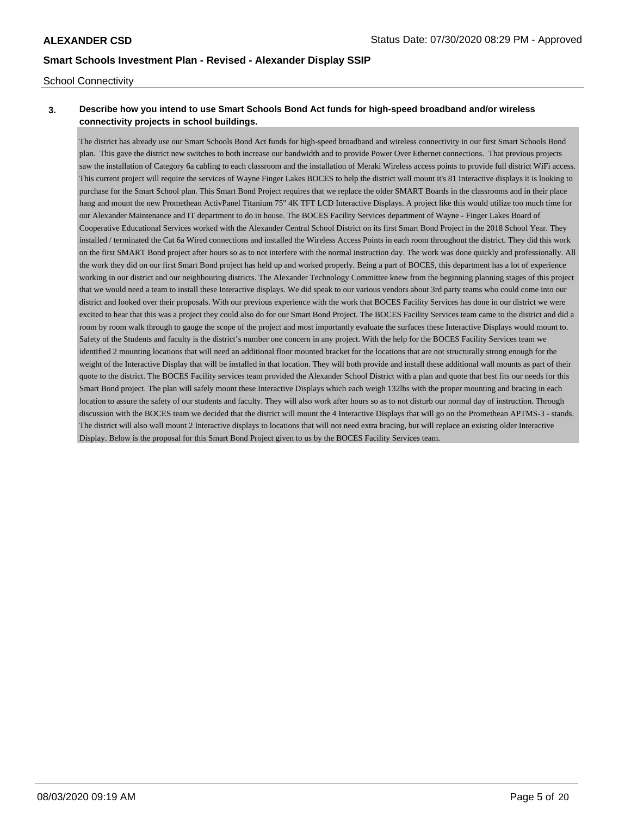## School Connectivity

# **3. Describe how you intend to use Smart Schools Bond Act funds for high-speed broadband and/or wireless connectivity projects in school buildings.**

The district has already use our Smart Schools Bond Act funds for high-speed broadband and wireless connectivity in our first Smart Schools Bond plan. This gave the district new switches to both increase our bandwidth and to provide Power Over Ethernet connections. That previous projects saw the installation of Category 6a cabling to each classroom and the installation of Meraki Wireless access points to provide full district WiFi access. This current project will require the services of Wayne Finger Lakes BOCES to help the district wall mount it's 81 Interactive displays it is looking to purchase for the Smart School plan. This Smart Bond Project requires that we replace the older SMART Boards in the classrooms and in their place hang and mount the new Promethean ActivPanel Titanium 75" 4K TFT LCD Interactive Displays. A project like this would utilize too much time for our Alexander Maintenance and IT department to do in house. The BOCES Facility Services department of Wayne - Finger Lakes Board of Cooperative Educational Services worked with the Alexander Central School District on its first Smart Bond Project in the 2018 School Year. They installed / terminated the Cat 6a Wired connections and installed the Wireless Access Points in each room throughout the district. They did this work on the first SMART Bond project after hours so as to not interfere with the normal instruction day. The work was done quickly and professionally. All the work they did on our first Smart Bond project has held up and worked properly. Being a part of BOCES, this department has a lot of experience working in our district and our neighbouring districts. The Alexander Technology Committee knew from the beginning planning stages of this project that we would need a team to install these Interactive displays. We did speak to our various vendors about 3rd party teams who could come into our district and looked over their proposals. With our previous experience with the work that BOCES Facility Services has done in our district we were excited to hear that this was a project they could also do for our Smart Bond Project. The BOCES Facility Services team came to the district and did a room by room walk through to gauge the scope of the project and most importantly evaluate the surfaces these Interactive Displays would mount to. Safety of the Students and faculty is the district's number one concern in any project. With the help for the BOCES Facility Services team we identified 2 mounting locations that will need an additional floor mounted bracket for the locations that are not structurally strong enough for the weight of the Interactive Display that will be installed in that location. They will both provide and install these additional wall mounts as part of their quote to the district. The BOCES Facility services team provided the Alexander School District with a plan and quote that best fits our needs for this Smart Bond project. The plan will safely mount these Interactive Displays which each weigh 132lbs with the proper mounting and bracing in each location to assure the safety of our students and faculty. They will also work after hours so as to not disturb our normal day of instruction. Through discussion with the BOCES team we decided that the district will mount the 4 Interactive Displays that will go on the Promethean APTMS-3 - stands. The district will also wall mount 2 Interactive displays to locations that will not need extra bracing, but will replace an existing older Interactive Display. Below is the proposal for this Smart Bond Project given to us by the BOCES Facility Services team.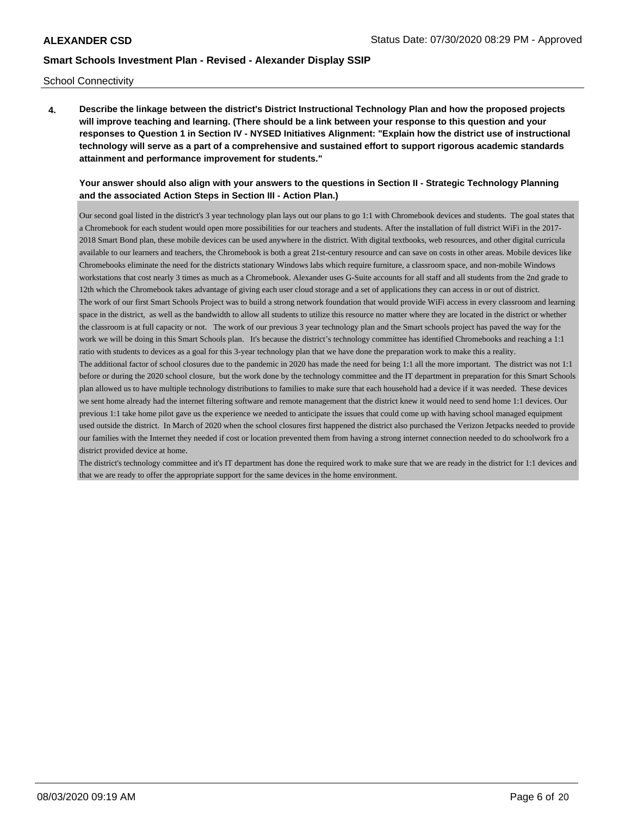### School Connectivity

**4. Describe the linkage between the district's District Instructional Technology Plan and how the proposed projects will improve teaching and learning. (There should be a link between your response to this question and your responses to Question 1 in Section IV - NYSED Initiatives Alignment: "Explain how the district use of instructional technology will serve as a part of a comprehensive and sustained effort to support rigorous academic standards attainment and performance improvement for students."** 

## **Your answer should also align with your answers to the questions in Section II - Strategic Technology Planning and the associated Action Steps in Section III - Action Plan.)**

Our second goal listed in the district's 3 year technology plan lays out our plans to go 1:1 with Chromebook devices and students. The goal states that a Chromebook for each student would open more possibilities for our teachers and students. After the installation of full district WiFi in the 2017- 2018 Smart Bond plan, these mobile devices can be used anywhere in the district. With digital textbooks, web resources, and other digital curricula available to our learners and teachers, the Chromebook is both a great 21st-century resource and can save on costs in other areas. Mobile devices like Chromebooks eliminate the need for the districts stationary Windows labs which require furniture, a classroom space, and non-mobile Windows workstations that cost nearly 3 times as much as a Chromebook. Alexander uses G-Suite accounts for all staff and all students from the 2nd grade to 12th which the Chromebook takes advantage of giving each user cloud storage and a set of applications they can access in or out of district. The work of our first Smart Schools Project was to build a strong network foundation that would provide WiFi access in every classroom and learning space in the district, as well as the bandwidth to allow all students to utilize this resource no matter where they are located in the district or whether the classroom is at full capacity or not. The work of our previous 3 year technology plan and the Smart schools project has paved the way for the work we will be doing in this Smart Schools plan. It's because the district's technology committee has identified Chromebooks and reaching a 1:1 ratio with students to devices as a goal for this 3-year technology plan that we have done the preparation work to make this a reality. The additional factor of school closures due to the pandemic in 2020 has made the need for being 1:1 all the more important. The district was not 1:1 before or during the 2020 school closure, but the work done by the technology committee and the IT department in preparation for this Smart Schools plan allowed us to have multiple technology distributions to families to make sure that each household had a device if it was needed. These devices we sent home already had the internet filtering software and remote management that the district knew it would need to send home 1:1 devices. Our previous 1:1 take home pilot gave us the experience we needed to anticipate the issues that could come up with having school managed equipment

used outside the district. In March of 2020 when the school closures first happened the district also purchased the Verizon Jetpacks needed to provide our families with the Internet they needed if cost or location prevented them from having a strong internet connection needed to do schoolwork fro a district provided device at home.

The district's technology committee and it's IT department has done the required work to make sure that we are ready in the district for 1:1 devices and that we are ready to offer the appropriate support for the same devices in the home environment.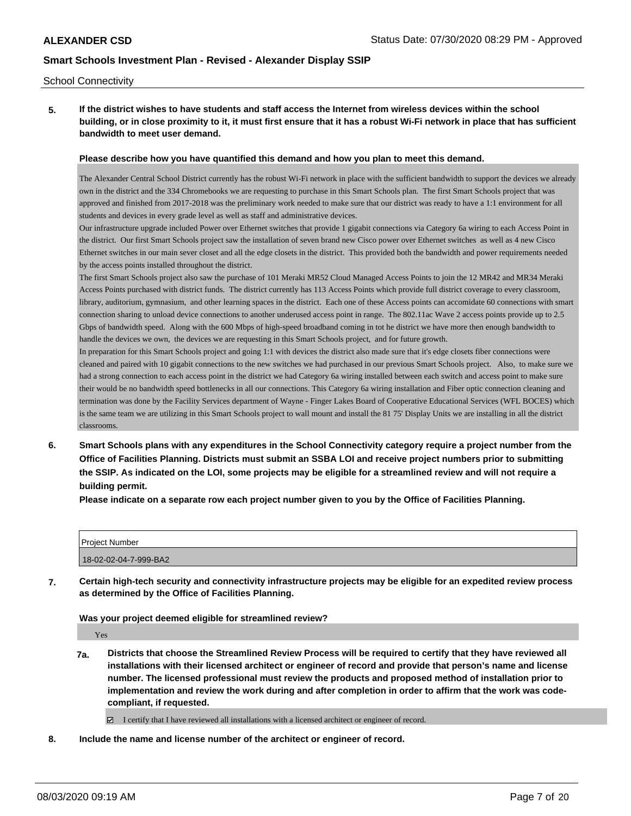### School Connectivity

**5. If the district wishes to have students and staff access the Internet from wireless devices within the school building, or in close proximity to it, it must first ensure that it has a robust Wi-Fi network in place that has sufficient bandwidth to meet user demand.**

### **Please describe how you have quantified this demand and how you plan to meet this demand.**

The Alexander Central School District currently has the robust Wi-Fi network in place with the sufficient bandwidth to support the devices we already own in the district and the 334 Chromebooks we are requesting to purchase in this Smart Schools plan. The first Smart Schools project that was approved and finished from 2017-2018 was the preliminary work needed to make sure that our district was ready to have a 1:1 environment for all students and devices in every grade level as well as staff and administrative devices.

Our infrastructure upgrade included Power over Ethernet switches that provide 1 gigabit connections via Category 6a wiring to each Access Point in the district. Our first Smart Schools project saw the installation of seven brand new Cisco power over Ethernet switches as well as 4 new Cisco Ethernet switches in our main sever closet and all the edge closets in the district. This provided both the bandwidth and power requirements needed by the access points installed throughout the district.

The first Smart Schools project also saw the purchase of 101 Meraki MR52 Cloud Managed Access Points to join the 12 MR42 and MR34 Meraki Access Points purchased with district funds. The district currently has 113 Access Points which provide full district coverage to every classroom, library, auditorium, gymnasium, and other learning spaces in the district. Each one of these Access points can accomidate 60 connections with smart connection sharing to unload device connections to another underused access point in range. The 802.11ac Wave 2 access points provide up to 2.5 Gbps of bandwidth speed. Along with the 600 Mbps of high-speed broadband coming in tot he district we have more then enough bandwidth to handle the devices we own, the devices we are requesting in this Smart Schools project, and for future growth.

In preparation for this Smart Schools project and going 1:1 with devices the district also made sure that it's edge closets fiber connections were cleaned and paired with 10 gigabit connections to the new switches we had purchased in our previous Smart Schools project. Also, to make sure we had a strong connection to each access point in the district we had Category 6a wiring installed between each switch and access point to make sure their would be no bandwidth speed bottlenecks in all our connections. This Category 6a wiring installation and Fiber optic connection cleaning and termination was done by the Facility Services department of Wayne - Finger Lakes Board of Cooperative Educational Services (WFL BOCES) which is the same team we are utilizing in this Smart Schools project to wall mount and install the 81 75' Display Units we are installing in all the district classrooms.

**6. Smart Schools plans with any expenditures in the School Connectivity category require a project number from the Office of Facilities Planning. Districts must submit an SSBA LOI and receive project numbers prior to submitting the SSIP. As indicated on the LOI, some projects may be eligible for a streamlined review and will not require a building permit.**

**Please indicate on a separate row each project number given to you by the Office of Facilities Planning.**

| l Proiect Number      |  |
|-----------------------|--|
| 18-02-02-04-7-999-BA2 |  |

**7. Certain high-tech security and connectivity infrastructure projects may be eligible for an expedited review process as determined by the Office of Facilities Planning.**

**Was your project deemed eligible for streamlined review?**

Yes

**7a. Districts that choose the Streamlined Review Process will be required to certify that they have reviewed all installations with their licensed architect or engineer of record and provide that person's name and license number. The licensed professional must review the products and proposed method of installation prior to implementation and review the work during and after completion in order to affirm that the work was codecompliant, if requested.**

I certify that I have reviewed all installations with a licensed architect or engineer of record.

**8. Include the name and license number of the architect or engineer of record.**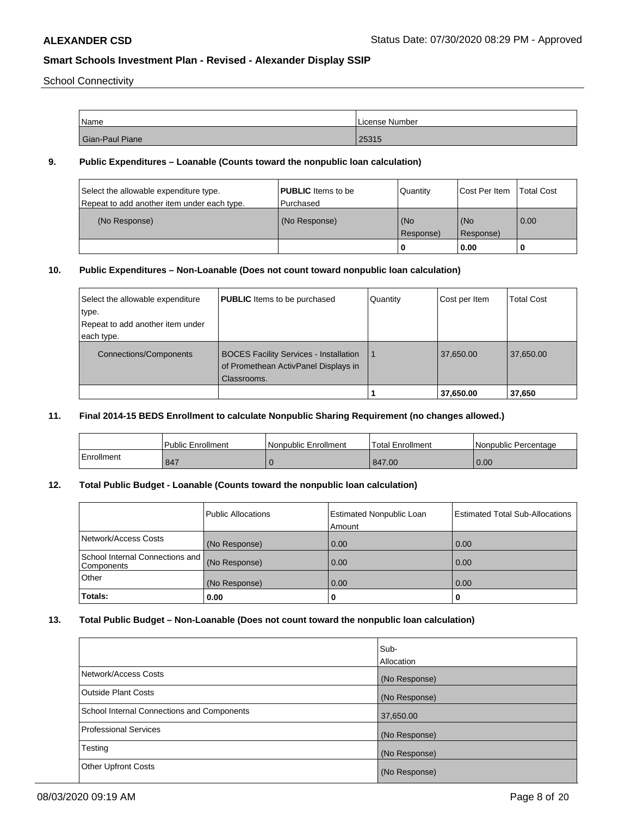School Connectivity

| Name            | License Number |
|-----------------|----------------|
| Gian-Paul Piane | 25315          |

## **9. Public Expenditures – Loanable (Counts toward the nonpublic loan calculation)**

| Select the allowable expenditure type.<br>Repeat to add another item under each type. | <b>PUBLIC</b> Items to be<br>Purchased | Quantity  | Cost Per Item | <b>Total Cost</b> |
|---------------------------------------------------------------------------------------|----------------------------------------|-----------|---------------|-------------------|
| (No Response)                                                                         | (No Response)                          | (No       | l (No         | 0.00              |
|                                                                                       |                                        | Response) | Response)     |                   |
|                                                                                       |                                        | 0         | 0.00          |                   |

# **10. Public Expenditures – Non-Loanable (Does not count toward nonpublic loan calculation)**

| Select the allowable expenditure | <b>PUBLIC</b> Items to be purchased                                                                  | Quantity | Cost per Item | <b>Total Cost</b> |
|----------------------------------|------------------------------------------------------------------------------------------------------|----------|---------------|-------------------|
| type.                            |                                                                                                      |          |               |                   |
| Repeat to add another item under |                                                                                                      |          |               |                   |
| each type.                       |                                                                                                      |          |               |                   |
| Connections/Components           | <b>BOCES Facility Services - Installation</b><br>of Promethean ActivPanel Displays in<br>Classrooms. |          | 37,650.00     | 37,650.00         |
|                                  |                                                                                                      |          | 37,650.00     | 37,650            |

## **11. Final 2014-15 BEDS Enrollment to calculate Nonpublic Sharing Requirement (no changes allowed.)**

|            | l Public Enrollment | Nonpublic Enrollment | <b>Total Enrollment</b> | l Nonpublic Percentage |
|------------|---------------------|----------------------|-------------------------|------------------------|
| Enrollment | 847                 |                      | 847.00                  | 0.00                   |

# **12. Total Public Budget - Loanable (Counts toward the nonpublic loan calculation)**

|                                                  | <b>Public Allocations</b> | <b>Estimated Nonpublic Loan</b><br>Amount | <b>Estimated Total Sub-Allocations</b> |
|--------------------------------------------------|---------------------------|-------------------------------------------|----------------------------------------|
| Network/Access Costs                             | (No Response)             | 0.00                                      | 0.00                                   |
| School Internal Connections and   <br>Components | (No Response)             | 0.00                                      | 0.00                                   |
| <b>Other</b>                                     | (No Response)             | 0.00                                      | 0.00                                   |
| Totals:                                          | 0.00                      |                                           |                                        |

## **13. Total Public Budget – Non-Loanable (Does not count toward the nonpublic loan calculation)**

|                                            | lSub-<br>Allocation |
|--------------------------------------------|---------------------|
| Network/Access Costs                       | (No Response)       |
| Outside Plant Costs                        | (No Response)       |
| School Internal Connections and Components | 37,650.00           |
| Professional Services                      | (No Response)       |
| Testing                                    | (No Response)       |
| <b>Other Upfront Costs</b>                 | (No Response)       |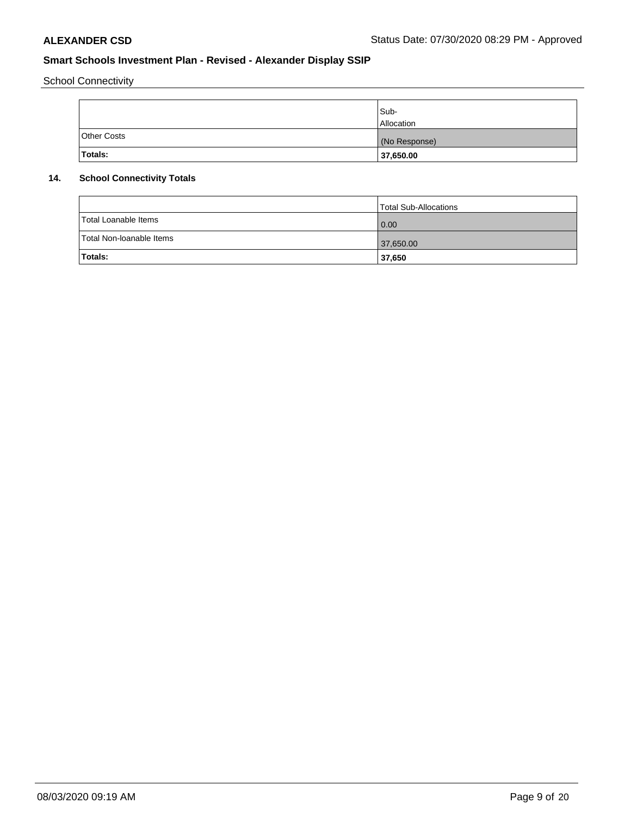School Connectivity

|                    | Sub-<br><b>Allocation</b> |
|--------------------|---------------------------|
| <b>Other Costs</b> | (No Response)             |
| Totals:            | 37,650.00                 |

# **14. School Connectivity Totals**

|                          | Total Sub-Allocations |
|--------------------------|-----------------------|
| Total Loanable Items     | 0.00                  |
| Total Non-Ioanable Items | 37,650.00             |
| Totals:                  | 37,650                |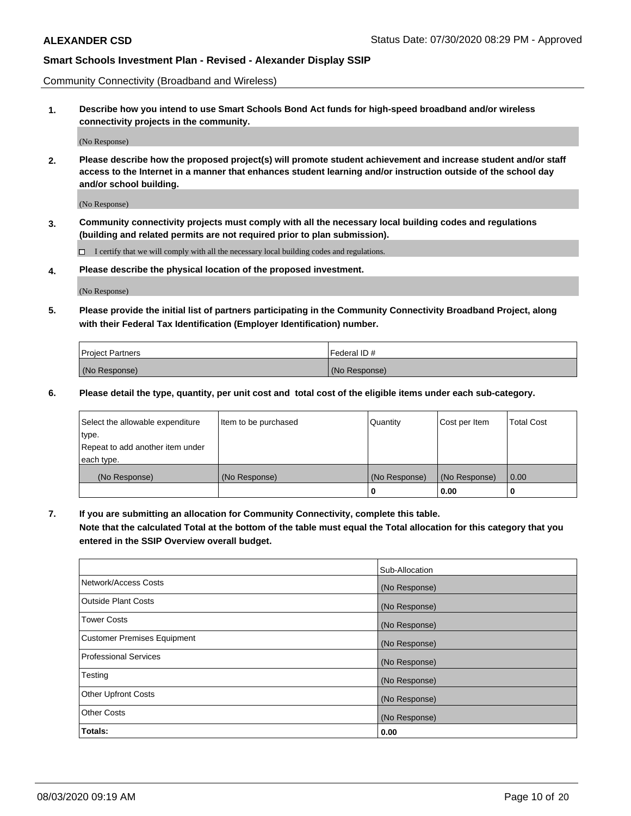Community Connectivity (Broadband and Wireless)

**1. Describe how you intend to use Smart Schools Bond Act funds for high-speed broadband and/or wireless connectivity projects in the community.**

(No Response)

**2. Please describe how the proposed project(s) will promote student achievement and increase student and/or staff access to the Internet in a manner that enhances student learning and/or instruction outside of the school day and/or school building.**

(No Response)

**3. Community connectivity projects must comply with all the necessary local building codes and regulations (building and related permits are not required prior to plan submission).**

 $\Box$  I certify that we will comply with all the necessary local building codes and regulations.

**4. Please describe the physical location of the proposed investment.**

(No Response)

**5. Please provide the initial list of partners participating in the Community Connectivity Broadband Project, along with their Federal Tax Identification (Employer Identification) number.**

| <b>Project Partners</b> | l Federal ID # |
|-------------------------|----------------|
| (No Response)           | (No Response)  |

**6. Please detail the type, quantity, per unit cost and total cost of the eligible items under each sub-category.**

| Select the allowable expenditure | Item to be purchased | Quantity      | Cost per Item | <b>Total Cost</b> |
|----------------------------------|----------------------|---------------|---------------|-------------------|
| type.                            |                      |               |               |                   |
| Repeat to add another item under |                      |               |               |                   |
| each type.                       |                      |               |               |                   |
| (No Response)                    | (No Response)        | (No Response) | (No Response) | 0.00              |
|                                  |                      | o             | 0.00          |                   |

**7. If you are submitting an allocation for Community Connectivity, complete this table.**

**Note that the calculated Total at the bottom of the table must equal the Total allocation for this category that you entered in the SSIP Overview overall budget.**

|                                    | Sub-Allocation |
|------------------------------------|----------------|
| Network/Access Costs               | (No Response)  |
| Outside Plant Costs                | (No Response)  |
| <b>Tower Costs</b>                 | (No Response)  |
| <b>Customer Premises Equipment</b> | (No Response)  |
| <b>Professional Services</b>       | (No Response)  |
| Testing                            | (No Response)  |
| <b>Other Upfront Costs</b>         | (No Response)  |
| <b>Other Costs</b>                 | (No Response)  |
| Totals:                            | 0.00           |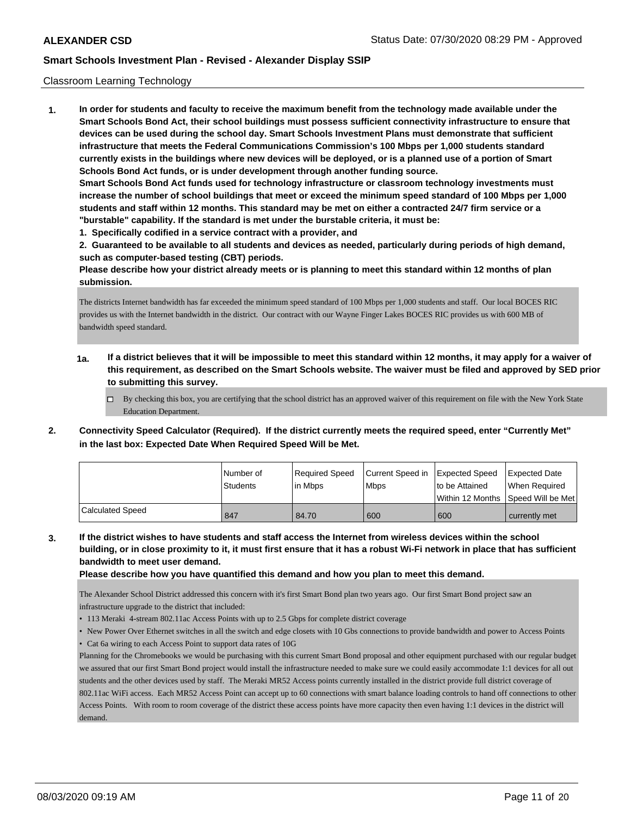### Classroom Learning Technology

**1. In order for students and faculty to receive the maximum benefit from the technology made available under the Smart Schools Bond Act, their school buildings must possess sufficient connectivity infrastructure to ensure that devices can be used during the school day. Smart Schools Investment Plans must demonstrate that sufficient infrastructure that meets the Federal Communications Commission's 100 Mbps per 1,000 students standard currently exists in the buildings where new devices will be deployed, or is a planned use of a portion of Smart Schools Bond Act funds, or is under development through another funding source. Smart Schools Bond Act funds used for technology infrastructure or classroom technology investments must increase the number of school buildings that meet or exceed the minimum speed standard of 100 Mbps per 1,000 students and staff within 12 months. This standard may be met on either a contracted 24/7 firm service or a "burstable" capability. If the standard is met under the burstable criteria, it must be: 1. Specifically codified in a service contract with a provider, and**

**2. Guaranteed to be available to all students and devices as needed, particularly during periods of high demand, such as computer-based testing (CBT) periods.**

**Please describe how your district already meets or is planning to meet this standard within 12 months of plan submission.**

The districts Internet bandwidth has far exceeded the minimum speed standard of 100 Mbps per 1,000 students and staff. Our local BOCES RIC provides us with the Internet bandwidth in the district. Our contract with our Wayne Finger Lakes BOCES RIC provides us with 600 MB of bandwidth speed standard.

- **1a. If a district believes that it will be impossible to meet this standard within 12 months, it may apply for a waiver of this requirement, as described on the Smart Schools website. The waiver must be filed and approved by SED prior to submitting this survey.**
	- $\Box$  By checking this box, you are certifying that the school district has an approved waiver of this requirement on file with the New York State Education Department.
- **2. Connectivity Speed Calculator (Required). If the district currently meets the required speed, enter "Currently Met" in the last box: Expected Date When Required Speed Will be Met.**

|                  | l Number of     | Required Speed | Current Speed in Expected Speed |                                      | Expected Date |
|------------------|-----------------|----------------|---------------------------------|--------------------------------------|---------------|
|                  | <b>Students</b> | lin Mbps       | <b>Mbps</b>                     | Ito be Attained                      | When Required |
|                  |                 |                |                                 | Within 12 Months 1Speed Will be Met1 |               |
| Calculated Speed | 847             | 84.70          | 600                             | 600                                  | currently met |

**3. If the district wishes to have students and staff access the Internet from wireless devices within the school building, or in close proximity to it, it must first ensure that it has a robust Wi-Fi network in place that has sufficient bandwidth to meet user demand.**

**Please describe how you have quantified this demand and how you plan to meet this demand.**

The Alexander School District addressed this concern with it's first Smart Bond plan two years ago. Our first Smart Bond project saw an infrastructure upgrade to the district that included:

- 113 Meraki 4-stream 802.11ac Access Points with up to 2.5 Gbps for complete district coverage
- New Power Over Ethernet switches in all the switch and edge closets with 10 Gbs connections to provide bandwidth and power to Access Points
- Cat 6a wiring to each Access Point to support data rates of 10G

Planning for the Chromebooks we would be purchasing with this current Smart Bond proposal and other equipment purchased with our regular budget we assured that our first Smart Bond project would install the infrastructure needed to make sure we could easily accommodate 1:1 devices for all out students and the other devices used by staff. The Meraki MR52 Access points currently installed in the district provide full district coverage of 802.11ac WiFi access. Each MR52 Access Point can accept up to 60 connections with smart balance loading controls to hand off connections to other Access Points. With room to room coverage of the district these access points have more capacity then even having 1:1 devices in the district will demand.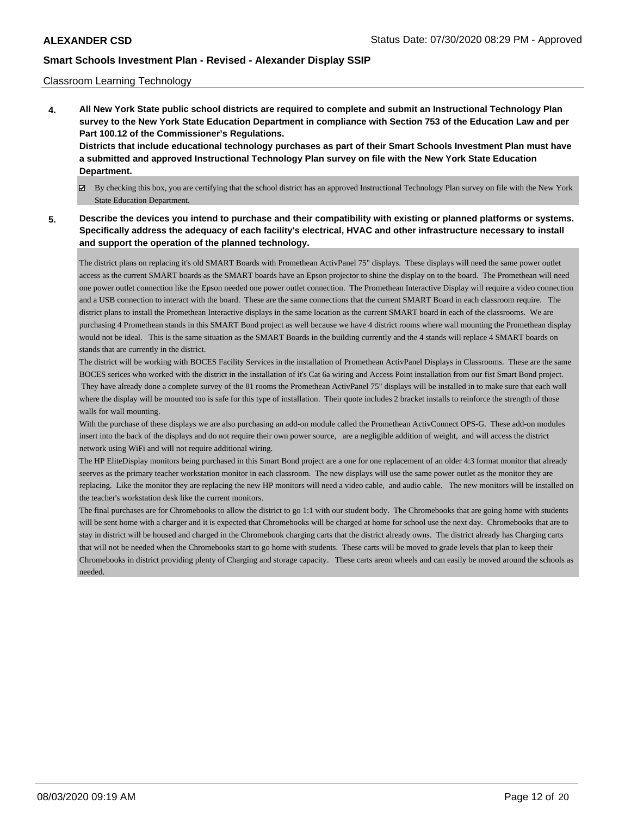## Classroom Learning Technology

**4. All New York State public school districts are required to complete and submit an Instructional Technology Plan survey to the New York State Education Department in compliance with Section 753 of the Education Law and per Part 100.12 of the Commissioner's Regulations. Districts that include educational technology purchases as part of their Smart Schools Investment Plan must have a submitted and approved Instructional Technology Plan survey on file with the New York State Education**

# **Department.**

- By checking this box, you are certifying that the school district has an approved Instructional Technology Plan survey on file with the New York State Education Department.
- **5. Describe the devices you intend to purchase and their compatibility with existing or planned platforms or systems. Specifically address the adequacy of each facility's electrical, HVAC and other infrastructure necessary to install and support the operation of the planned technology.**

The district plans on replacing it's old SMART Boards with Promethean ActivPanel 75" displays. These displays will need the same power outlet access as the current SMART boards as the SMART boards have an Epson projector to shine the display on to the board. The Promethean will need one power outlet connection like the Epson needed one power outlet connection. The Promethean Interactive Display will require a video connection and a USB connection to interact with the board. These are the same connections that the current SMART Board in each classroom require. The district plans to install the Promethean Interactive displays in the same location as the current SMART board in each of the classrooms. We are purchasing 4 Promethean stands in this SMART Bond project as well because we have 4 district rooms where wall mounting the Promethean display would not be ideal. This is the same situation as the SMART Boards in the building currently and the 4 stands will replace 4 SMART boards on stands that are currently in the district.

The district will be working with BOCES Facility Services in the installation of Promethean ActivPanel Displays in Classrooms. These are the same BOCES serices who worked with the district in the installation of it's Cat 6a wiring and Access Point installation from our fist Smart Bond project. They have already done a complete survey of the 81 rooms the Promethean ActivPanel 75" displays will be installed in to make sure that each wall where the display will be mounted too is safe for this type of installation. Their quote includes 2 bracket installs to reinforce the strength of those walls for wall mounting.

With the purchase of these displays we are also purchasing an add-on module called the Promethean ActivConnect OPS-G. These add-on modules insert into the back of the displays and do not require their own power source, are a negligible addition of weight, and will access the district network using WiFi and will not require additional wiring.

The HP EliteDisplay monitors being purchased in this Smart Bond project are a one for one replacement of an older 4:3 format monitor that already seerves as the primary teacher workstation monitor in each classroom. The new displays will use the same power outlet as the monitor they are replacing. Like the monitor they are replacing the new HP monitors will need a video cable, and audio cable. The new monitors will be installed on the teacher's workstation desk like the current monitors.

The final purchases are for Chromebooks to allow the district to go 1:1 with our student body. The Chromebooks that are going home with students will be sent home with a charger and it is expected that Chromebooks will be charged at home for school use the next day. Chromebooks that are to stay in district will be housed and charged in the Chromebook charging carts that the district already owns. The district already has Charging carts that will not be needed when the Chromebooks start to go home with students. These carts will be moved to grade levels that plan to keep their Chromebooks in district providing plenty of Charging and storage capacity. These carts areon wheels and can easily be moved around the schools as needed.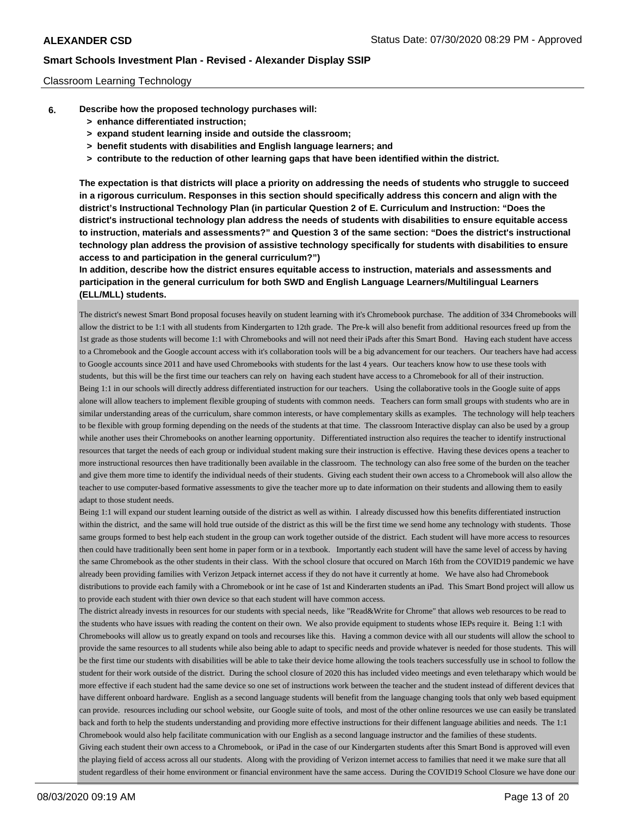### Classroom Learning Technology

- **6. Describe how the proposed technology purchases will:**
	- **> enhance differentiated instruction;**
	- **> expand student learning inside and outside the classroom;**
	- **> benefit students with disabilities and English language learners; and**
	- **> contribute to the reduction of other learning gaps that have been identified within the district.**

**The expectation is that districts will place a priority on addressing the needs of students who struggle to succeed in a rigorous curriculum. Responses in this section should specifically address this concern and align with the district's Instructional Technology Plan (in particular Question 2 of E. Curriculum and Instruction: "Does the district's instructional technology plan address the needs of students with disabilities to ensure equitable access to instruction, materials and assessments?" and Question 3 of the same section: "Does the district's instructional technology plan address the provision of assistive technology specifically for students with disabilities to ensure access to and participation in the general curriculum?")**

**In addition, describe how the district ensures equitable access to instruction, materials and assessments and participation in the general curriculum for both SWD and English Language Learners/Multilingual Learners (ELL/MLL) students.**

The district's newest Smart Bond proposal focuses heavily on student learning with it's Chromebook purchase. The addition of 334 Chromebooks will allow the district to be 1:1 with all students from Kindergarten to 12th grade. The Pre-k will also benefit from additional resources freed up from the 1st grade as those students will become 1:1 with Chromebooks and will not need their iPads after this Smart Bond. Having each student have access to a Chromebook and the Google account access with it's collaboration tools will be a big advancement for our teachers. Our teachers have had access to Google accounts since 2011 and have used Chromebooks with students for the last 4 years. Our teachers know how to use these tools with students, but this will be the first time our teachers can rely on having each student have access to a Chromebook for all of their instruction. Being 1:1 in our schools will directly address differentiated instruction for our teachers. Using the collaborative tools in the Google suite of apps alone will allow teachers to implement flexible grouping of students with common needs. Teachers can form small groups with students who are in similar understanding areas of the curriculum, share common interests, or have complementary skills as examples. The technology will help teachers to be flexible with group forming depending on the needs of the students at that time. The classroom Interactive display can also be used by a group while another uses their Chromebooks on another learning opportunity. Differentiated instruction also requires the teacher to identify instructional resources that target the needs of each group or individual student making sure their instruction is effective. Having these devices opens a teacher to more instructional resources then have traditionally been available in the classroom. The technology can also free some of the burden on the teacher and give them more time to identify the individual needs of their students. Giving each student their own access to a Chromebook will also allow the teacher to use computer-based formative assessments to give the teacher more up to date information on their students and allowing them to easily adapt to those student needs.

Being 1:1 will expand our student learning outside of the district as well as within. I already discussed how this benefits differentiated instruction within the district, and the same will hold true outside of the district as this will be the first time we send home any technology with students. Those same groups formed to best help each student in the group can work together outside of the district. Each student will have more access to resources then could have traditionally been sent home in paper form or in a textbook. Importantly each student will have the same level of access by having the same Chromebook as the other students in their class. With the school closure that occured on March 16th from the COVID19 pandemic we have already been providing families with Verizon Jetpack internet access if they do not have it currently at home. We have also had Chromebook distributions to provide each family with a Chromebook or int he case of 1st and Kinderarten students an iPad. This Smart Bond project will allow us to provide each student with thier own device so that each student will have common access.

The district already invests in resources for our students with special needs, like "Read&Write for Chrome" that allows web resources to be read to the students who have issues with reading the content on their own. We also provide equipment to students whose IEPs require it. Being 1:1 with Chromebooks will allow us to greatly expand on tools and recourses like this. Having a common device with all our students will allow the school to provide the same resources to all students while also being able to adapt to specific needs and provide whatever is needed for those students. This will be the first time our students with disabilities will be able to take their device home allowing the tools teachers successfully use in school to follow the student for their work outside of the district. During the school closure of 2020 this has included video meetings and even teletharapy which would be more effective if each student had the same device so one set of instructions work between the teacher and the student instead of different devices that have different onboard hardware. English as a second language students will benefit from the language changing tools that only web based equipment can provide. resources including our school website, our Google suite of tools, and most of the other online resources we use can easily be translated back and forth to help the students understanding and providing more effective instructions for their diffenent language abilities and needs. The 1:1 Chromebook would also help facilitate communication with our English as a second language instructor and the families of these students. Giving each student their own access to a Chromebook, or iPad in the case of our Kindergarten students after this Smart Bond is approved will even the playing field of access across all our students. Along with the providing of Verizon internet access to families that need it we make sure that all student regardless of their home environment or financial environment have the same access. During the COVID19 School Closure we have done our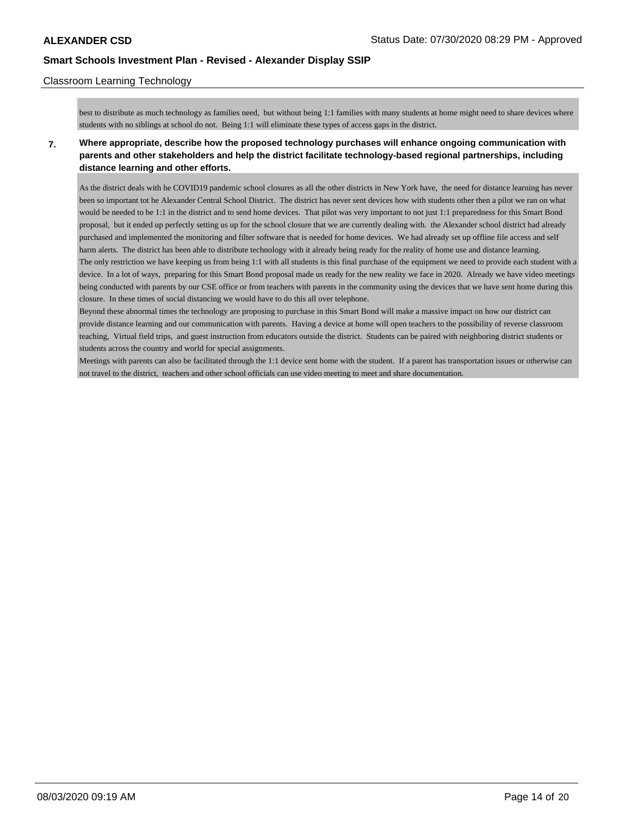## Classroom Learning Technology

best to distribute as much technology as families need, but without being 1:1 families with many students at home might need to share devices where students with no siblings at school do not. Being 1:1 will eliminate these types of access gaps in the district.

**7. Where appropriate, describe how the proposed technology purchases will enhance ongoing communication with parents and other stakeholders and help the district facilitate technology-based regional partnerships, including distance learning and other efforts.**

As the district deals with he COVID19 pandemic school closures as all the other districts in New York have, the need for distance learning has never been so important tot he Alexander Central School District. The district has never sent devices how with students other then a pilot we ran on what would be needed to be 1:1 in the district and to send home devices. That pilot was very important to not just 1:1 preparedness for this Smart Bond proposal, but it ended up perfectly setting us up for the school closure that we are currently dealing with. the Alexander school district had already purchased and implemented the monitoring and filter software that is needed for home devices. We had already set up offline file access and self harm alerts. The district has been able to distribute technology with it already being ready for the reality of home use and distance learning. The only restriction we have keeping us from being 1:1 with all students is this final purchase of the equipment we need to provide each student with a device. In a lot of ways, preparing for this Smart Bond proposal made us ready for the new reality we face in 2020. Already we have video meetings being conducted with parents by our CSE office or from teachers with parents in the community using the devices that we have sent home during this closure. In these times of social distancing we would have to do this all over telephone.

Beyond these abnormal times the technology are proposing to purchase in this Smart Bond will make a massive impact on how our district can provide distance learning and our communication with parents. Having a device at home will open teachers to the possibility of reverse classroom teaching, Virtual field trips, and guest instruction from educators outside the district. Students can be paired with neighboring district students or students across the country and world for special assignments.

Meetings with parents can also be facilitated through the 1:1 device sent home with the student. If a parent has transportation issues or otherwise can not travel to the district, teachers and other school officials can use video meeting to meet and share documentation.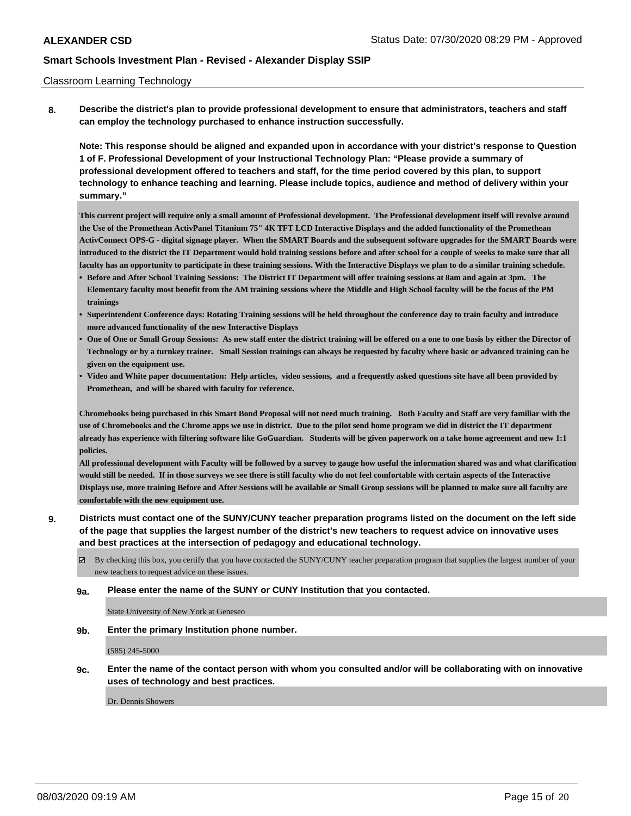### Classroom Learning Technology

**8. Describe the district's plan to provide professional development to ensure that administrators, teachers and staff can employ the technology purchased to enhance instruction successfully.**

**Note: This response should be aligned and expanded upon in accordance with your district's response to Question 1 of F. Professional Development of your Instructional Technology Plan: "Please provide a summary of professional development offered to teachers and staff, for the time period covered by this plan, to support technology to enhance teaching and learning. Please include topics, audience and method of delivery within your summary."**

**This current project will require only a small amount of Professional development. The Professional development itself will revolve around the Use of the Promethean ActivPanel Titanium 75" 4K TFT LCD Interactive Displays and the added functionality of the Promethean ActivConnect OPS-G - digital signage player. When the SMART Boards and the subsequent software upgrades for the SMART Boards were introduced to the district the IT Department would hold training sessions before and after school for a couple of weeks to make sure that all faculty has an opportunity to participate in these training sessions. With the Interactive Displays we plan to do a similar training schedule.**

- **• Before and After School Training Sessions: The District IT Department will offer training sessions at 8am and again at 3pm. The Elementary faculty most benefit from the AM training sessions where the Middle and High School faculty will be the focus of the PM trainings**
- **• Superintendent Conference days: Rotating Training sessions will be held throughout the conference day to train faculty and introduce more advanced functionality of the new Interactive Displays**
- **• One of One or Small Group Sessions: As new staff enter the district training will be offered on a one to one basis by either the Director of Technology or by a turnkey trainer. Small Session trainings can always be requested by faculty where basic or advanced training can be given on the equipment use.**
- **• Video and White paper documentation: Help articles, video sessions, and a frequently asked questions site have all been provided by Promethean, and will be shared with faculty for reference.**

**Chromebooks being purchased in this Smart Bond Proposal will not need much training. Both Faculty and Staff are very familiar with the use of Chromebooks and the Chrome apps we use in district. Due to the pilot send home program we did in district the IT department already has experience with filtering software like GoGuardian. Students will be given paperwork on a take home agreement and new 1:1 policies.**

**All professional development with Faculty will be followed by a survey to gauge how useful the information shared was and what clarification would still be needed. If in those surveys we see there is still faculty who do not feel comfortable with certain aspects of the Interactive Displays use, more training Before and After Sessions will be available or Small Group sessions will be planned to make sure all faculty are comfortable with the new equipment use.**

## **9. Districts must contact one of the SUNY/CUNY teacher preparation programs listed on the document on the left side of the page that supplies the largest number of the district's new teachers to request advice on innovative uses and best practices at the intersection of pedagogy and educational technology.**

By checking this box, you certify that you have contacted the SUNY/CUNY teacher preparation program that supplies the largest number of your new teachers to request advice on these issues.

**9a. Please enter the name of the SUNY or CUNY Institution that you contacted.**

State University of New York at Geneseo

**9b. Enter the primary Institution phone number.**

(585) 245-5000

**9c. Enter the name of the contact person with whom you consulted and/or will be collaborating with on innovative uses of technology and best practices.**

Dr. Dennis Showers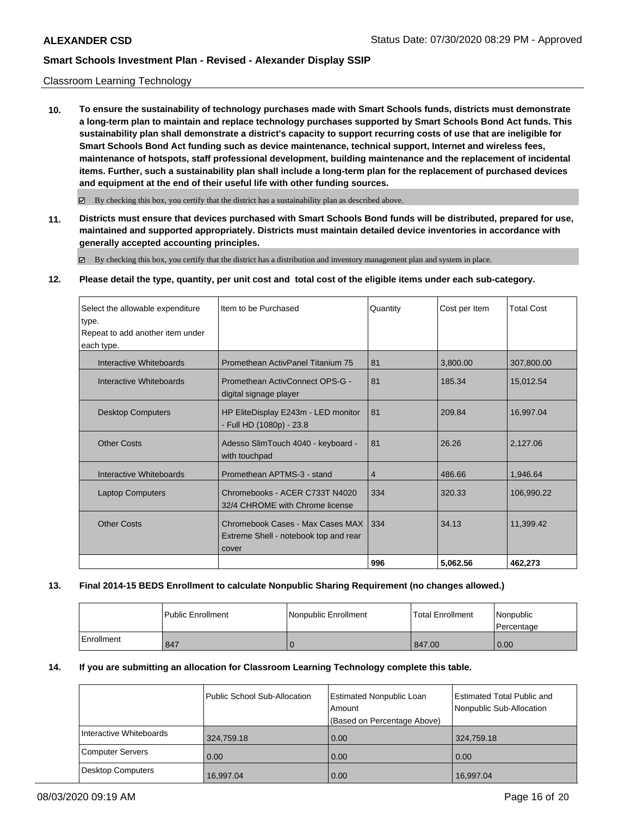## Classroom Learning Technology

**10. To ensure the sustainability of technology purchases made with Smart Schools funds, districts must demonstrate a long-term plan to maintain and replace technology purchases supported by Smart Schools Bond Act funds. This sustainability plan shall demonstrate a district's capacity to support recurring costs of use that are ineligible for Smart Schools Bond Act funding such as device maintenance, technical support, Internet and wireless fees, maintenance of hotspots, staff professional development, building maintenance and the replacement of incidental items. Further, such a sustainability plan shall include a long-term plan for the replacement of purchased devices and equipment at the end of their useful life with other funding sources.**

 $\boxtimes$  By checking this box, you certify that the district has a sustainability plan as described above.

**11. Districts must ensure that devices purchased with Smart Schools Bond funds will be distributed, prepared for use, maintained and supported appropriately. Districts must maintain detailed device inventories in accordance with generally accepted accounting principles.**

By checking this box, you certify that the district has a distribution and inventory management plan and system in place.

**12. Please detail the type, quantity, per unit cost and total cost of the eligible items under each sub-category.**

| Select the allowable expenditure | Item to be Purchased                                                               | Quantity | Cost per Item | <b>Total Cost</b> |
|----------------------------------|------------------------------------------------------------------------------------|----------|---------------|-------------------|
| type.                            |                                                                                    |          |               |                   |
| Repeat to add another item under |                                                                                    |          |               |                   |
| each type.                       |                                                                                    |          |               |                   |
| Interactive Whiteboards          | Promethean ActivPanel Titanium 75                                                  | 81       | 3,800.00      | 307,800.00        |
| Interactive Whiteboards          | Promethean ActivConnect OPS-G -<br>digital signage player                          | 81       | 185.34        | 15.012.54         |
| <b>Desktop Computers</b>         | HP EliteDisplay E243m - LED monitor<br>- Full HD (1080p) - 23.8                    | 81       | 209.84        | 16.997.04         |
| <b>Other Costs</b>               | Adesso SlimTouch 4040 - keyboard -<br>with touchpad                                | 81       | 26.26         | 2,127.06          |
| Interactive Whiteboards          | Promethean APTMS-3 - stand                                                         | 4        | 486.66        | 1.946.64          |
| <b>Laptop Computers</b>          | Chromebooks - ACER C733T N4020<br>32/4 CHROME with Chrome license                  | 334      | 320.33        | 106,990.22        |
| <b>Other Costs</b>               | Chromebook Cases - Max Cases MAX<br>Extreme Shell - notebook top and rear<br>cover | 334      | 34.13         | 11,399.42         |
|                                  |                                                                                    | 996      | 5,062.56      | 462,273           |

### **13. Final 2014-15 BEDS Enrollment to calculate Nonpublic Sharing Requirement (no changes allowed.)**

|            | l Public Enrollment | Nonpublic Enrollment | <b>Total Enrollment</b> | Nonpublic<br>Percentage |
|------------|---------------------|----------------------|-------------------------|-------------------------|
| Enrollment | 847                 |                      | 847.00                  | 0.00                    |

## **14. If you are submitting an allocation for Classroom Learning Technology complete this table.**

|                          | Public School Sub-Allocation | Estimated Nonpublic Loan<br>Amount<br>(Based on Percentage Above) | <b>Estimated Total Public and</b><br>Nonpublic Sub-Allocation |
|--------------------------|------------------------------|-------------------------------------------------------------------|---------------------------------------------------------------|
| Interactive Whiteboards  | 324,759.18                   | 0.00                                                              | 324,759.18                                                    |
| <b>Computer Servers</b>  | 0.00                         | 0.00                                                              | 0.00                                                          |
| <b>Desktop Computers</b> | 16,997.04                    | 0.00                                                              | 16,997.04                                                     |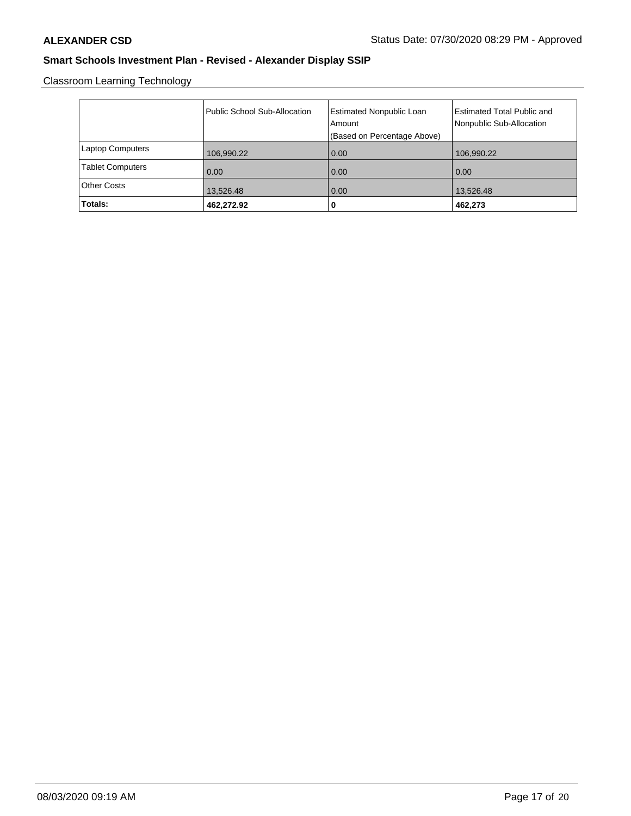Classroom Learning Technology

|                         | Public School Sub-Allocation | Estimated Nonpublic Loan<br>Amount<br>(Based on Percentage Above) | <b>Estimated Total Public and</b><br>Nonpublic Sub-Allocation |
|-------------------------|------------------------------|-------------------------------------------------------------------|---------------------------------------------------------------|
| <b>Laptop Computers</b> | 106,990.22                   | 0.00                                                              | 106,990.22                                                    |
| <b>Tablet Computers</b> | 0.00                         | 0.00                                                              | 0.00                                                          |
| <b>Other Costs</b>      | 13,526.48                    | 0.00                                                              | 13,526.48                                                     |
| Totals:                 | 462,272.92                   | 0                                                                 | 462,273                                                       |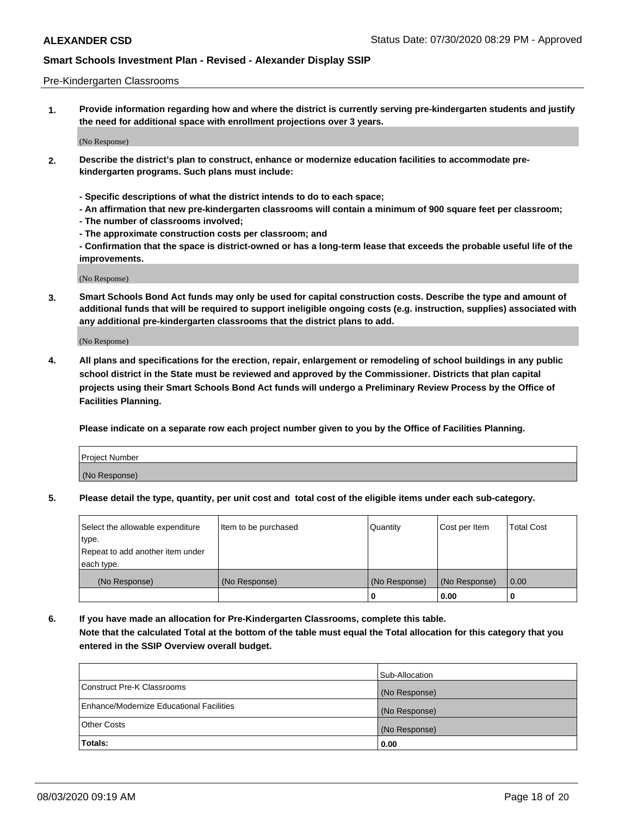### Pre-Kindergarten Classrooms

**1. Provide information regarding how and where the district is currently serving pre-kindergarten students and justify the need for additional space with enrollment projections over 3 years.**

(No Response)

- **2. Describe the district's plan to construct, enhance or modernize education facilities to accommodate prekindergarten programs. Such plans must include:**
	- **Specific descriptions of what the district intends to do to each space;**
	- **An affirmation that new pre-kindergarten classrooms will contain a minimum of 900 square feet per classroom;**
	- **The number of classrooms involved;**
	- **The approximate construction costs per classroom; and**
	- **Confirmation that the space is district-owned or has a long-term lease that exceeds the probable useful life of the improvements.**

(No Response)

**3. Smart Schools Bond Act funds may only be used for capital construction costs. Describe the type and amount of additional funds that will be required to support ineligible ongoing costs (e.g. instruction, supplies) associated with any additional pre-kindergarten classrooms that the district plans to add.**

(No Response)

**4. All plans and specifications for the erection, repair, enlargement or remodeling of school buildings in any public school district in the State must be reviewed and approved by the Commissioner. Districts that plan capital projects using their Smart Schools Bond Act funds will undergo a Preliminary Review Process by the Office of Facilities Planning.**

**Please indicate on a separate row each project number given to you by the Office of Facilities Planning.**

| Project Number |  |
|----------------|--|
| (No Response)  |  |
|                |  |

**5. Please detail the type, quantity, per unit cost and total cost of the eligible items under each sub-category.**

| Select the allowable expenditure | Item to be purchased | Quantity      | Cost per Item | <b>Total Cost</b> |
|----------------------------------|----------------------|---------------|---------------|-------------------|
| type.                            |                      |               |               |                   |
| Repeat to add another item under |                      |               |               |                   |
| each type.                       |                      |               |               |                   |
| (No Response)                    | (No Response)        | (No Response) | (No Response) | 0.00              |
|                                  |                      | U             | 0.00          |                   |

**6. If you have made an allocation for Pre-Kindergarten Classrooms, complete this table. Note that the calculated Total at the bottom of the table must equal the Total allocation for this category that you entered in the SSIP Overview overall budget.**

|                                          | Sub-Allocation |
|------------------------------------------|----------------|
| Construct Pre-K Classrooms               | (No Response)  |
| Enhance/Modernize Educational Facilities | (No Response)  |
| <b>Other Costs</b>                       | (No Response)  |
| Totals:                                  | 0.00           |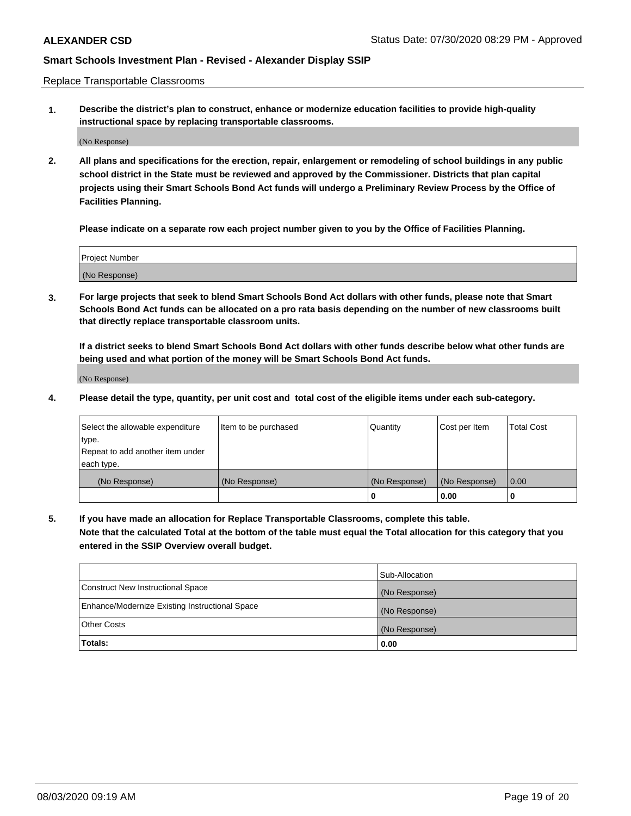Replace Transportable Classrooms

**1. Describe the district's plan to construct, enhance or modernize education facilities to provide high-quality instructional space by replacing transportable classrooms.**

(No Response)

**2. All plans and specifications for the erection, repair, enlargement or remodeling of school buildings in any public school district in the State must be reviewed and approved by the Commissioner. Districts that plan capital projects using their Smart Schools Bond Act funds will undergo a Preliminary Review Process by the Office of Facilities Planning.**

**Please indicate on a separate row each project number given to you by the Office of Facilities Planning.**

| Project Number |  |
|----------------|--|
|                |  |
|                |  |
|                |  |
| (No Response)  |  |
|                |  |
|                |  |

**3. For large projects that seek to blend Smart Schools Bond Act dollars with other funds, please note that Smart Schools Bond Act funds can be allocated on a pro rata basis depending on the number of new classrooms built that directly replace transportable classroom units.**

**If a district seeks to blend Smart Schools Bond Act dollars with other funds describe below what other funds are being used and what portion of the money will be Smart Schools Bond Act funds.**

(No Response)

**4. Please detail the type, quantity, per unit cost and total cost of the eligible items under each sub-category.**

| Select the allowable expenditure<br>∣type.     | Item to be purchased | Quantity      | Cost per Item | Total Cost |
|------------------------------------------------|----------------------|---------------|---------------|------------|
| Repeat to add another item under<br>each type. |                      |               |               |            |
| (No Response)                                  | (No Response)        | (No Response) | (No Response) | 0.00       |
|                                                |                      | u             | 0.00          |            |

**5. If you have made an allocation for Replace Transportable Classrooms, complete this table. Note that the calculated Total at the bottom of the table must equal the Total allocation for this category that you entered in the SSIP Overview overall budget.**

|                                                | Sub-Allocation |
|------------------------------------------------|----------------|
| Construct New Instructional Space              | (No Response)  |
| Enhance/Modernize Existing Instructional Space | (No Response)  |
| Other Costs                                    | (No Response)  |
| Totals:                                        | 0.00           |